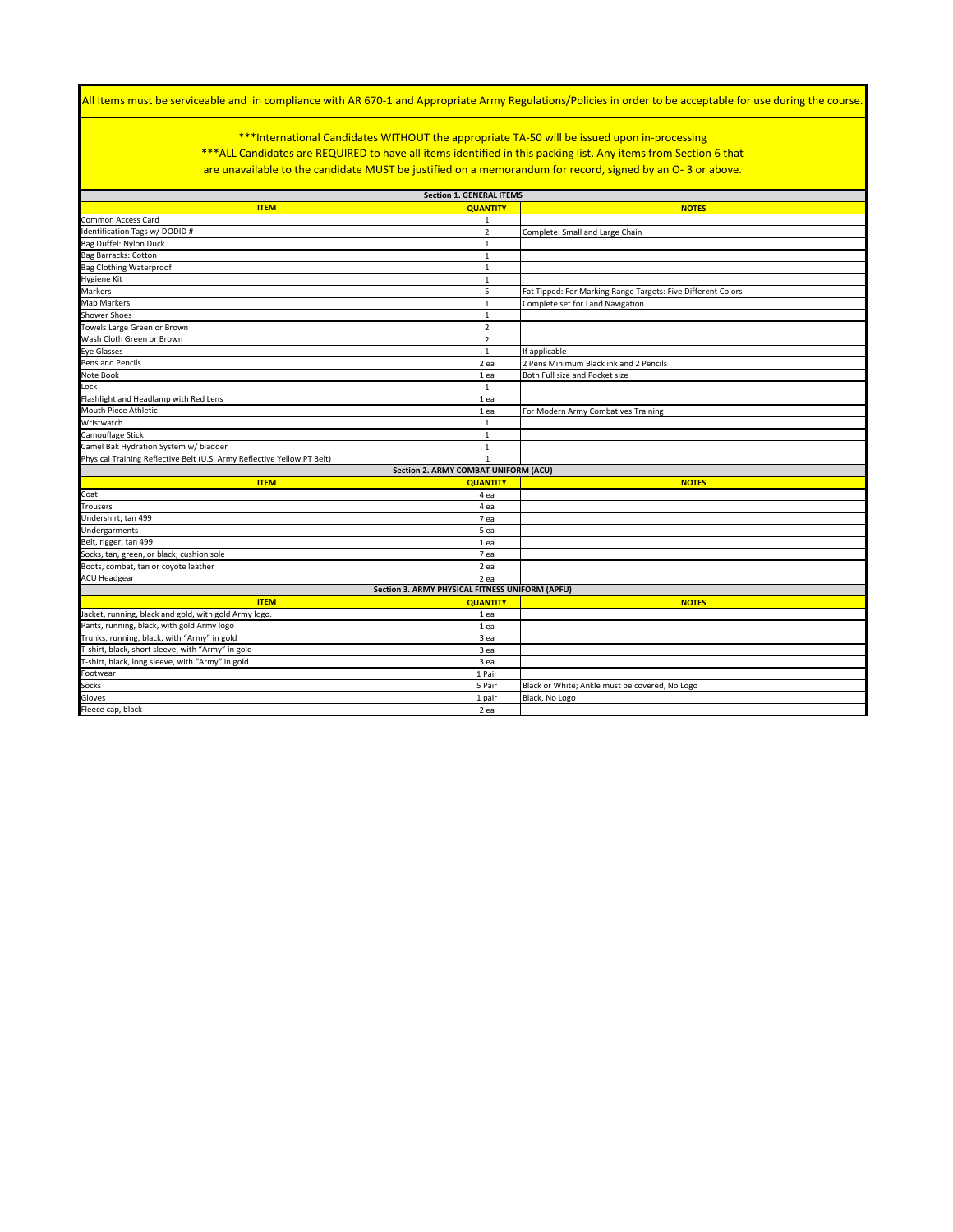All Items must be serviceable and in compliance with AR 670-1 and Appropriate Army Regulations/Policies in order to be acceptable for use during the course.

\*\*\*International Candidates WITHOUT the appropriate TA-50 will be issued upon in-processing \*\*\*ALL Candidates are REQUIRED to have all items identified in this packing list. Any items from Section 6 that are unavailable to the candidate MUST be justified on a memorandum for record, signed by an O-3 or above.

| <b>Section 1. GENERAL ITEMS</b>                                         |                                      |                                                              |  |
|-------------------------------------------------------------------------|--------------------------------------|--------------------------------------------------------------|--|
| <b>ITEM</b>                                                             | <b>QUANTITY</b>                      | <b>NOTES</b>                                                 |  |
| <b>Common Access Card</b>                                               | $\mathbf{1}$                         |                                                              |  |
| Identification Tags w/ DODID #                                          | $\overline{2}$                       | Complete: Small and Large Chain                              |  |
| Bag Duffel: Nylon Duck                                                  | $\mathbf{1}$                         |                                                              |  |
| Bag Barracks: Cotton                                                    | $\mathbf{1}$                         |                                                              |  |
| <b>Bag Clothing Waterproof</b>                                          | $\,1\,$                              |                                                              |  |
| Hygiene Kit                                                             | $\overline{1}$                       |                                                              |  |
| Markers                                                                 | 5                                    | Fat Tipped: For Marking Range Targets: Five Different Colors |  |
| <b>Map Markers</b>                                                      | $\mathbf{1}$                         | Complete set for Land Navigation                             |  |
| <b>Shower Shoes</b>                                                     | $\mathbf{1}$                         |                                                              |  |
| Towels Large Green or Brown                                             | $\overline{2}$                       |                                                              |  |
| Wash Cloth Green or Brown                                               | $\overline{2}$                       |                                                              |  |
| <b>Eye Glasses</b>                                                      | $\mathbf{1}$                         | If applicable                                                |  |
| Pens and Pencils                                                        | 2 ea                                 | 2 Pens Minimum Black ink and 2 Pencils                       |  |
| Note Book                                                               | 1 ea                                 | Both Full size and Pocket size                               |  |
| Lock                                                                    | $\mathbf{1}$                         |                                                              |  |
| Flashlight and Headlamp with Red Lens                                   | 1 ea                                 |                                                              |  |
| Mouth Piece Athletic                                                    | 1 ea                                 | For Modern Army Combatives Training                          |  |
| Wristwatch                                                              | $\mathbf{1}$                         |                                                              |  |
| Camouflage Stick                                                        | $\mathbf{1}$                         |                                                              |  |
| Camel Bak Hydration System w/ bladder                                   | $\mathbf{1}$                         |                                                              |  |
| Physical Training Reflective Belt (U.S. Army Reflective Yellow PT Belt) | $\mathbf{1}$                         |                                                              |  |
|                                                                         | Section 2. ARMY COMBAT UNIFORM (ACU) |                                                              |  |
| <b>ITEM</b>                                                             | <b>QUANTITY</b>                      | <b>NOTES</b>                                                 |  |
| Coat                                                                    | 4 ea                                 |                                                              |  |
| <b>Trousers</b>                                                         | 4 ea                                 |                                                              |  |
| Undershirt, tan 499                                                     | 7 ea                                 |                                                              |  |
| Undergarments                                                           | 5 ea                                 |                                                              |  |
| Belt, rigger, tan 499                                                   | 1 ea                                 |                                                              |  |
| Socks, tan, green, or black; cushion sole                               | 7 ea                                 |                                                              |  |
| Boots, combat, tan or coyote leather                                    | 2 ea                                 |                                                              |  |
| <b>ACU Headgear</b>                                                     | 2 ea                                 |                                                              |  |
| Section 3. ARMY PHYSICAL FITNESS UNIFORM (APFU)                         |                                      |                                                              |  |
| <b>ITEM</b>                                                             | <b>QUANTITY</b>                      | <b>NOTES</b>                                                 |  |
| Jacket, running, black and gold, with gold Army logo.                   | 1 ea                                 |                                                              |  |
| Pants, running, black, with gold Army logo                              | 1 ea                                 |                                                              |  |
| Trunks, running, black, with "Army" in gold                             | 3 ea                                 |                                                              |  |
| T-shirt, black, short sleeve, with "Army" in gold                       | 3 ea                                 |                                                              |  |
| T-shirt, black, long sleeve, with "Army" in gold                        | 3 ea                                 |                                                              |  |
| Footwear                                                                | 1 Pair                               |                                                              |  |
| Socks                                                                   | 5 Pair                               | Black or White; Ankle must be covered, No Logo               |  |
| Gloves                                                                  | 1 pair                               | Black, No Logo                                               |  |
| Fleece cap, black                                                       | 2 ea                                 |                                                              |  |